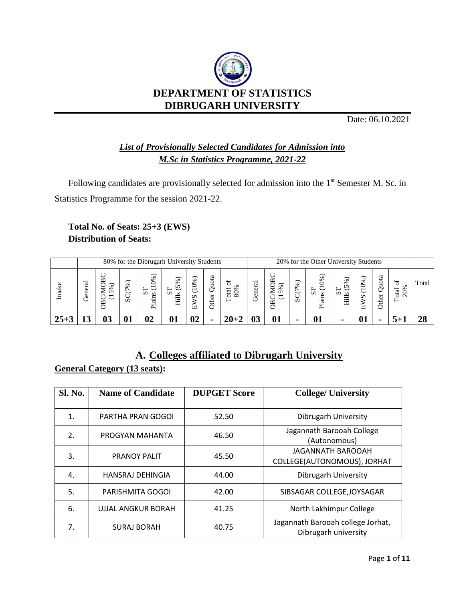

Date: 06.10.2021

## *List of Provisionally Selected Candidates for Admission into M.Sc in Statistics Programme, 2021-22*

Following candidates are provisionally selected for admission into the  $1<sup>st</sup>$  Semester M. Sc. in Statistics Programme for the session 2021-22.

#### **Total No. of Seats: 25+3 (EWS) Distribution of Seats:**

|       |         |                             |             |                                                                       | 80% for the Dibrugarh University Students                                                    |                                                            |                                 |           |         |                                                     |        | 20% for the Other University Students                                                                         |                                              |                                          |                     |                       |       |
|-------|---------|-----------------------------|-------------|-----------------------------------------------------------------------|----------------------------------------------------------------------------------------------|------------------------------------------------------------|---------------------------------|-----------|---------|-----------------------------------------------------|--------|---------------------------------------------------------------------------------------------------------------|----------------------------------------------|------------------------------------------|---------------------|-----------------------|-------|
| Intak | General | m<br>℅<br>∖<br>ഗ<br>∼<br>පී | ళ<br>∼<br>Ō | (9%)<br>$\overline{\phantom{0}}$<br>⊢<br>$\mathcal{L}$<br>S<br>ä<br>ದ | $\overline{\phantom{1}}$<br>5%<br>$\overline{\phantom{0}}$<br>$\boldsymbol{\omega}$<br>Hills | $\widehat{\phantom{m}}$<br>(10%<br>$\mathcal{L}$<br>⋧<br>ப | ದ<br>↩<br>ō<br>∍<br>ᅌ<br>৯<br>€ | 80%<br>ਫ਼ | General | MOB<br>℅<br>$\sim$<br>$\overline{\phantom{0}}$<br>፵ | SC(7%) | $\overline{\phantom{1}}$<br>0%<br>$\overline{\phantom{0}}$<br>╼<br>◡<br>$\boldsymbol{\omega}$<br>ã<br>ਾਰ<br>▵ | $\overline{\phantom{1}}$<br>℅<br>n<br>∽<br>Ξ | వ్<br>っ<br>$\overline{\phantom{0}}$<br>n | ota<br>నే<br>৯<br>S | 5<br>20%<br>otal<br>⊢ | Total |
|       |         |                             |             |                                                                       | 01                                                                                           | 02                                                         | $\blacksquare$                  |           |         | 01                                                  |        |                                                                                                               |                                              |                                          |                     |                       |       |

### **A. Colleges affiliated to Dibrugarh University**

## **General Category (13 seats):**

| <b>Sl. No.</b>   | <b>Name of Candidate</b> | <b>DUPGET Score</b> | <b>College/ University</b>                                |
|------------------|--------------------------|---------------------|-----------------------------------------------------------|
| 1.               | PARTHA PRAN GOGOI        | 52.50               | Dibrugarh University                                      |
| $\overline{2}$ . | PROGYAN MAHANTA          | 46.50               | Jagannath Barooah College<br>(Autonomous)                 |
| 3.               | <b>PRANOY PALIT</b>      | 45.50               | <b>JAGANNATH BAROOAH</b><br>COLLEGE(AUTONOMOUS), JORHAT   |
| 4.               | <b>HANSRAJ DEHINGIA</b>  | 44.00               | Dibrugarh University                                      |
| 5.               | PARISHMITA GOGOI         | 42.00               | SIBSAGAR COLLEGE, JOYSAGAR                                |
| 6.               | UJJAL ANGKUR BORAH       | 41.25               | North Lakhimpur College                                   |
| 7.               | <b>SURAJ BORAH</b>       | 40.75               | Jagannath Barooah college Jorhat,<br>Dibrugarh university |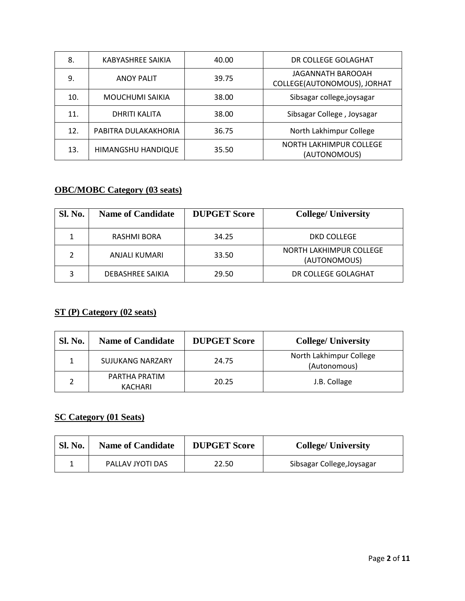| 8.  | KABYASHREE SAIKIA      | 40.00 | DR COLLEGE GOLAGHAT                              |
|-----|------------------------|-------|--------------------------------------------------|
| 9.  | <b>ANOY PALIT</b>      | 39.75 | JAGANNATH BAROOAH<br>COLLEGE(AUTONOMOUS), JORHAT |
| 10. | <b>MOUCHUMI SAIKIA</b> | 38.00 | Sibsagar college, joysagar                       |
| 11. | DHRITI KALITA          | 38.00 | Sibsagar College, Joysagar                       |
| 12. | PABITRA DULAKAKHORIA   | 36.75 | North Lakhimpur College                          |
| 13. | HIMANGSHU HANDIQUE     | 35.50 | NORTH LAKHIMPUR COLLEGE<br>(AUTONOMOUS)          |

# **OBC/MOBC Category (03 seats)**

| <b>Sl. No.</b> | <b>Name of Candidate</b> | <b>DUPGET Score</b> | <b>College/ University</b>              |
|----------------|--------------------------|---------------------|-----------------------------------------|
|                | RASHMI BORA              | 34.25               | DKD COLLEGE                             |
|                | ANJALI KUMARI            | 33.50               | NORTH LAKHIMPUR COLLEGE<br>(AUTONOMOUS) |
| 3              | DEBASHREE SAIKIA         | 29.50               | DR COLLEGE GOLAGHAT                     |

### **ST (P) Category (02 seats)**

| <b>Sl. No.</b> | <b>Name of Candidate</b> | <b>DUPGET Score</b> | <b>College/ University</b>              |
|----------------|--------------------------|---------------------|-----------------------------------------|
|                | <b>SUJUKANG NARZARY</b>  | 24.75               | North Lakhimpur College<br>(Autonomous) |
|                | PARTHA PRATIM<br>KACHARI | 20.25               | J.B. Collage                            |

### **SC Category (01 Seats)**

| <b>Sl. No.</b> | <b>Name of Candidate</b> | <b>DUPGET Score</b> | <b>College/ University</b> |
|----------------|--------------------------|---------------------|----------------------------|
|                | PALLAV JYOTI DAS         | 22.50               | Sibsagar College, Joysagar |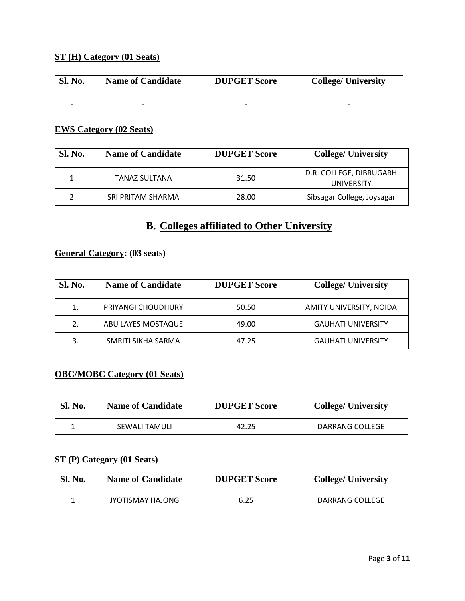#### **ST (H) Category (01 Seats)**

| <b>Sl. No.</b> | <b>Name of Candidate</b> | <b>DUPGET Score</b> | <b>College/ University</b> |
|----------------|--------------------------|---------------------|----------------------------|
|                | -                        |                     |                            |

#### **EWS Category (02 Seats)**

| <b>Sl. No.</b> | <b>Name of Candidate</b> | <b>DUPGET Score</b> | <b>College/ University</b>                   |
|----------------|--------------------------|---------------------|----------------------------------------------|
|                | <b>TANAZ SULTANA</b>     | 31.50               | D.R. COLLEGE, DIBRUGARH<br><b>UNIVERSITY</b> |
|                | SRI PRITAM SHARMA        | 28.00               | Sibsagar College, Joysagar                   |

# **B. Colleges affiliated to Other University**

#### **General Category: (03 seats)**

| Sl. No. | <b>Name of Candidate</b> | <b>DUPGET Score</b> | <b>College/ University</b> |
|---------|--------------------------|---------------------|----------------------------|
| 1.      | PRIYANGI CHOUDHURY       | 50.50               | AMITY UNIVERSITY, NOIDA    |
| 2.      | ABU LAYES MOSTAQUE       | 49.00               | <b>GAUHATI UNIVERSITY</b>  |
| 3.      | SMRITI SIKHA SARMA       | 47.25               | <b>GAUHATI UNIVERSITY</b>  |

### **OBC/MOBC Category (01 Seats)**

| <b>Sl. No.</b> | <b>Name of Candidate</b> | <b>DUPGET Score</b> | <b>College/ University</b> |
|----------------|--------------------------|---------------------|----------------------------|
|                | SEWALI TAMULI            | 42.25               | DARRANG COLLEGE            |

#### **ST (P) Category (01 Seats)**

| <b>Sl. No.</b> | <b>Name of Candidate</b> | <b>DUPGET Score</b> | <b>College/ University</b> |
|----------------|--------------------------|---------------------|----------------------------|
|                | JYOTISMAY HAJONG         | 6.25                | DARRANG COLLEGE            |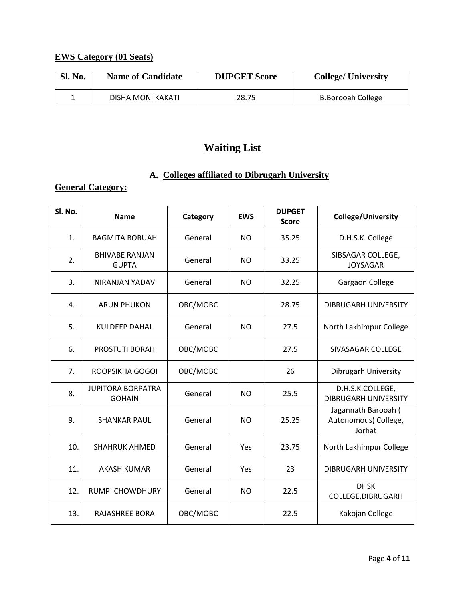# **EWS Category (01 Seats)**

| <b>Sl. No.</b> | <b>Name of Candidate</b> | <b>DUPGET Score</b> | <b>College/ University</b> |
|----------------|--------------------------|---------------------|----------------------------|
|                | DISHA MONI KAKATI        | 28.75               | B.Borooah College          |

# **Waiting List**

# **A. Colleges affiliated to Dibrugarh University**

#### **General Category:**

| Sl. No. | <b>Name</b>                               | Category | <b>EWS</b> | <b>DUPGET</b><br><b>Score</b> | College/University                                    |
|---------|-------------------------------------------|----------|------------|-------------------------------|-------------------------------------------------------|
| 1.      | <b>BAGMITA BORUAH</b>                     | General  | NO.        | 35.25                         | D.H.S.K. College                                      |
| 2.      | <b>BHIVABE RANJAN</b><br><b>GUPTA</b>     | General  | NO.        | 33.25                         | SIBSAGAR COLLEGE,<br><b>JOYSAGAR</b>                  |
| 3.      | <b>NIRANJAN YADAV</b>                     | General  | <b>NO</b>  | 32.25                         | Gargaon College                                       |
| 4.      | <b>ARUN PHUKON</b>                        | OBC/MOBC |            | 28.75                         | DIBRUGARH UNIVERSITY                                  |
| 5.      | <b>KULDEEP DAHAL</b>                      | General  | NO         | 27.5                          | North Lakhimpur College                               |
| 6.      | <b>PROSTUTI BORAH</b>                     | OBC/MOBC |            | 27.5                          | SIVASAGAR COLLEGE                                     |
| 7.      | ROOPSIKHA GOGOI                           | OBC/MOBC |            | 26                            | Dibrugarh University                                  |
| 8.      | <b>JUPITORA BORPATRA</b><br><b>GOHAIN</b> | General  | NO.        | 25.5                          | D.H.S.K.COLLEGE,<br><b>DIBRUGARH UNIVERSITY</b>       |
| 9.      | <b>SHANKAR PAUL</b>                       | General  | NO.        | 25.25                         | Jagannath Barooah (<br>Autonomous) College,<br>Jorhat |
| 10.     | <b>SHAHRUK AHMED</b>                      | General  | Yes        | 23.75                         | North Lakhimpur College                               |
| 11.     | <b>AKASH KUMAR</b>                        | General  | Yes        | 23                            | <b>DIBRUGARH UNIVERSITY</b>                           |
| 12.     | <b>RUMPI CHOWDHURY</b>                    | General  | NO.        | 22.5                          | <b>DHSK</b><br>COLLEGE, DIBRUGARH                     |
| 13.     | <b>RAJASHREE BORA</b>                     | OBC/MOBC |            | 22.5                          | Kakojan College                                       |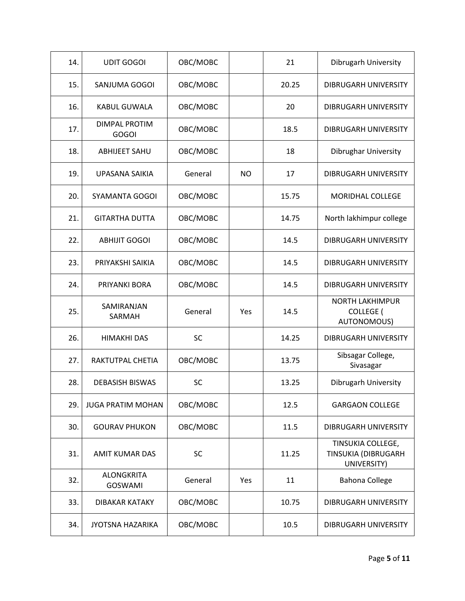| 14. | <b>UDIT GOGOI</b>                    | OBC/MOBC  |     | 21    | Dibrugarh University                                      |
|-----|--------------------------------------|-----------|-----|-------|-----------------------------------------------------------|
| 15. | SANJUMA GOGOI                        | OBC/MOBC  |     | 20.25 | DIBRUGARH UNIVERSITY                                      |
| 16. | KABUL GUWALA                         | OBC/MOBC  |     | 20    | <b>DIBRUGARH UNIVERSITY</b>                               |
| 17. | <b>DIMPAL PROTIM</b><br><b>GOGOI</b> | OBC/MOBC  |     | 18.5  | DIBRUGARH UNIVERSITY                                      |
| 18. | <b>ABHIJEET SAHU</b>                 | OBC/MOBC  |     | 18    | <b>Dibrughar University</b>                               |
| 19. | UPASANA SAIKIA                       | General   | NO. | 17    | DIBRUGARH UNIVERSITY                                      |
| 20. | SYAMANTA GOGOI                       | OBC/MOBC  |     | 15.75 | <b>MORIDHAL COLLEGE</b>                                   |
| 21. | <b>GITARTHA DUTTA</b>                | OBC/MOBC  |     | 14.75 | North lakhimpur college                                   |
| 22. | <b>ABHIJIT GOGOI</b>                 | OBC/MOBC  |     | 14.5  | DIBRUGARH UNIVERSITY                                      |
| 23. | PRIYAKSHI SAIKIA                     | OBC/MOBC  |     | 14.5  | <b>DIBRUGARH UNIVERSITY</b>                               |
| 24. | PRIYANKI BORA                        | OBC/MOBC  |     | 14.5  | DIBRUGARH UNIVERSITY                                      |
| 25. | SAMIRANJAN<br>SARMAH                 | General   | Yes | 14.5  | <b>NORTH LAKHIMPUR</b><br><b>COLLEGE</b> (<br>AUTONOMOUS) |
| 26. | <b>HIMAKHI DAS</b>                   | <b>SC</b> |     | 14.25 | <b>DIBRUGARH UNIVERSITY</b>                               |
| 27. | RAKTUTPAL CHETIA                     | OBC/MOBC  |     | 13.75 | Sibsagar College,<br>Sivasagar                            |
| 28. | <b>DEBASISH BISWAS</b>               | <b>SC</b> |     | 13.25 | Dibrugarh University                                      |
| 29. | <b>JUGA PRATIM MOHAN</b>             | OBC/MOBC  |     | 12.5  | <b>GARGAON COLLEGE</b>                                    |
| 30. | <b>GOURAV PHUKON</b>                 | OBC/MOBC  |     | 11.5  | DIBRUGARH UNIVERSITY                                      |
| 31. | <b>AMIT KUMAR DAS</b>                | <b>SC</b> |     | 11.25 | TINSUKIA COLLEGE,<br>TINSUKIA (DIBRUGARH<br>UNIVERSITY)   |
| 32. | <b>ALONGKRITA</b><br><b>GOSWAMI</b>  | General   | Yes | 11    | <b>Bahona College</b>                                     |
| 33. | DIBAKAR KATAKY                       | OBC/MOBC  |     | 10.75 | <b>DIBRUGARH UNIVERSITY</b>                               |
| 34. | <b>JYOTSNA HAZARIKA</b>              | OBC/MOBC  |     | 10.5  | DIBRUGARH UNIVERSITY                                      |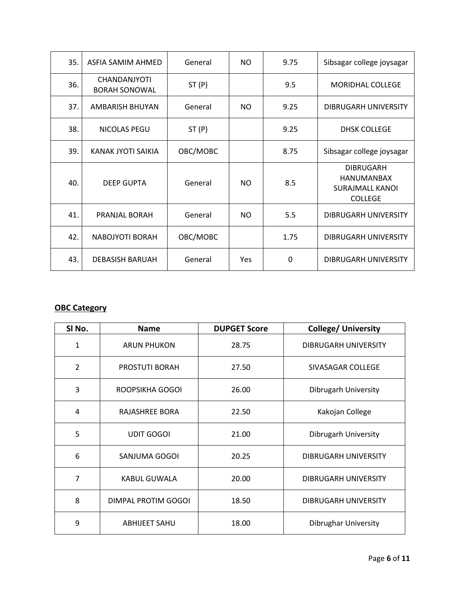| 35. | ASFIA SAMIM AHMED                    | General  | NO.       | 9.75     | Sibsagar college joysagar                                                  |
|-----|--------------------------------------|----------|-----------|----------|----------------------------------------------------------------------------|
| 36. | CHANDANJYOTI<br><b>BORAH SONOWAL</b> | ST(P)    |           | 9.5      | <b>MORIDHAL COLLEGE</b>                                                    |
| 37. | AMBARISH BHUYAN                      | General  | NO.       | 9.25     | DIBRUGARH UNIVERSITY                                                       |
| 38. | NICOLAS PEGU                         | ST(P)    |           | 9.25     | <b>DHSK COLLEGE</b>                                                        |
| 39. | KANAK JYOTI SAIKIA                   | OBC/MOBC |           | 8.75     | Sibsagar college joysagar                                                  |
| 40. | <b>DEEP GUPTA</b>                    | General  | <b>NO</b> | 8.5      | <b>DIBRUGARH</b><br>HANUMANBAX<br><b>SURAJMALL KANOL</b><br><b>COLLEGE</b> |
| 41. | PRANJAL BORAH                        | General  | NO.       | 5.5      | DIBRUGARH UNIVERSITY                                                       |
| 42. | <b>NABOJYOTI BORAH</b>               | OBC/MOBC |           | 1.75     | <b>DIBRUGARH UNIVERSITY</b>                                                |
| 43. | <b>DEBASISH BARUAH</b>               | General  | Yes       | $\Omega$ | <b>DIBRUGARH UNIVERSITY</b>                                                |

#### **OBC Category**

| SI No. | <b>Name</b>           | <b>DUPGET Score</b> | <b>College/ University</b> |
|--------|-----------------------|---------------------|----------------------------|
| 1      | <b>ARUN PHUKON</b>    | 28.75               | DIBRUGARH UNIVERSITY       |
| 2      | <b>PROSTUTI BORAH</b> | 27.50               | SIVASAGAR COLLEGE          |
| 3      | ROOPSIKHA GOGOI       | 26.00               | Dibrugarh University       |
| 4      | RAJASHREE BORA        | 22.50               | Kakojan College            |
| 5      | <b>UDIT GOGOI</b>     | 21.00               | Dibrugarh University       |
| 6      | SANJUMA GOGOI         | 20.25               | DIBRUGARH UNIVERSITY       |
| 7      | <b>KABUL GUWALA</b>   | 20.00               | DIBRUGARH UNIVERSITY       |
| 8      | DIMPAL PROTIM GOGOI   | 18.50               | DIBRUGARH UNIVERSITY       |
| 9      | <b>ABHIJEET SAHU</b>  | 18.00               | Dibrughar University       |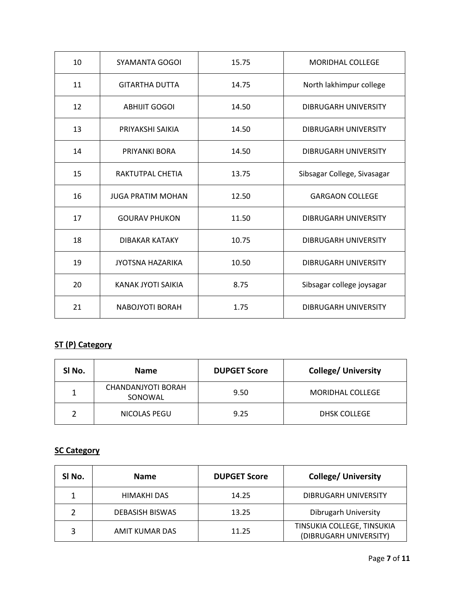| 10 | SYAMANTA GOGOI           | 15.75 | <b>MORIDHAL COLLEGE</b>     |
|----|--------------------------|-------|-----------------------------|
| 11 | <b>GITARTHA DUTTA</b>    | 14.75 | North lakhimpur college     |
| 12 | <b>ABHIJIT GOGOI</b>     | 14.50 | DIBRUGARH UNIVERSITY        |
| 13 | PRIYAKSHI SAIKIA         | 14.50 | DIBRUGARH UNIVERSITY        |
| 14 | PRIYANKI BORA            | 14.50 | DIBRUGARH UNIVERSITY        |
| 15 | RAKTUTPAL CHETIA         | 13.75 | Sibsagar College, Sivasagar |
| 16 | <b>JUGA PRATIM MOHAN</b> | 12.50 | GARGAON COLLEGE             |
| 17 | <b>GOURAV PHUKON</b>     | 11.50 | DIBRUGARH UNIVERSITY        |
| 18 | <b>DIBAKAR KATAKY</b>    | 10.75 | DIBRUGARH UNIVERSITY        |
| 19 | <b>JYOTSNA HAZARIKA</b>  | 10.50 | DIBRUGARH UNIVERSITY        |
| 20 | KANAK JYOTI SAIKIA       | 8.75  | Sibsagar college joysagar   |
| 21 | NABOJYOTI BORAH          | 1.75  | DIBRUGARH UNIVERSITY        |

# **ST (P) Category**

| SI No. | <b>Name</b>                   | <b>DUPGET Score</b> | <b>College/ University</b> |
|--------|-------------------------------|---------------------|----------------------------|
|        | CHANDANJYOTI BORAH<br>SONOWAL | 9.50                | <b>MORIDHAL COLLEGE</b>    |
|        | NICOLAS PEGU                  | 9.25                | DHSK COLLEGE               |

#### **SC Category**

| SI No. | <b>Name</b>            | <b>DUPGET Score</b> | <b>College/ University</b>                           |
|--------|------------------------|---------------------|------------------------------------------------------|
|        | HIMAKHI DAS            | 14.25               | DIBRUGARH UNIVERSITY                                 |
|        | <b>DEBASISH BISWAS</b> | 13.25               | Dibrugarh University                                 |
| 3      | AMIT KUMAR DAS         | 11.25               | TINSUKIA COLLEGE, TINSUKIA<br>(DIBRUGARH UNIVERSITY) |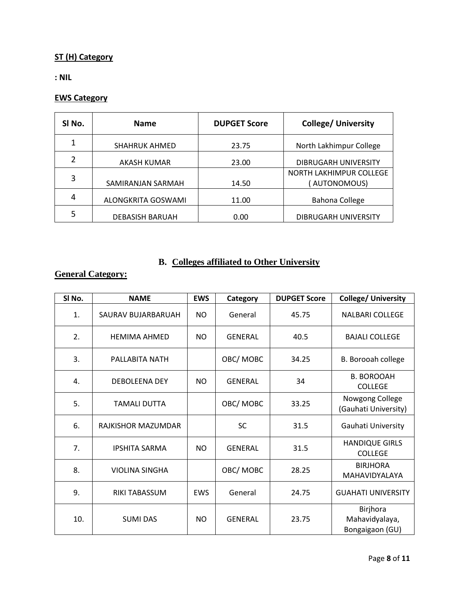### **ST (H) Category**

**: NIL**

### **EWS Category**

| SI No. | <b>Name</b>            | <b>DUPGET Score</b> | <b>College/ University</b>             |
|--------|------------------------|---------------------|----------------------------------------|
| 1      | <b>SHAHRUK AHMED</b>   | 23.75               | North Lakhimpur College                |
| 2      | AKASH KUMAR            | 23.00               | DIBRUGARH UNIVERSITY                   |
| 3      | SAMIRANJAN SARMAH      | 14.50               | NORTH LAKHIMPUR COLLEGE<br>AUTONOMOUS) |
| 4      | ALONGKRITA GOSWAMI     | 11.00               | <b>Bahona College</b>                  |
| 5      | <b>DEBASISH BARUAH</b> | 0.00                | DIBRUGARH UNIVERSITY                   |

### **B. Colleges affiliated to Other University**

### **General Category:**

| SI No. | <b>NAME</b>           | <b>EWS</b> | Category       | <b>DUPGET Score</b> | <b>College/ University</b>                    |
|--------|-----------------------|------------|----------------|---------------------|-----------------------------------------------|
| 1.     | SAURAV BUJARBARUAH    | <b>NO</b>  | General        | 45.75               | <b>NALBARI COLLEGE</b>                        |
| 2.     | <b>HEMIMA AHMED</b>   | <b>NO</b>  | <b>GENERAL</b> | 40.5                | <b>BAJALI COLLEGE</b>                         |
| 3.     | PALLABITA NATH        |            | OBC/MOBC       | 34.25               | B. Borooah college                            |
| 4.     | <b>DEBOLEENA DEY</b>  | <b>NO</b>  | <b>GENERAL</b> | 34                  | <b>B. BOROOAH</b><br><b>COLLEGE</b>           |
| 5.     | <b>TAMALI DUTTA</b>   |            | OBC/MOBC       | 33.25               | Nowgong College<br>(Gauhati University)       |
| 6.     | RAJKISHOR MAZUMDAR    |            | SC             | 31.5                | Gauhati University                            |
| 7.     | <b>IPSHITA SARMA</b>  | <b>NO</b>  | <b>GENERAL</b> | 31.5                | <b>HANDIQUE GIRLS</b><br><b>COLLEGE</b>       |
| 8.     | <b>VIOLINA SINGHA</b> |            | OBC/MOBC       | 28.25               | <b>BIRJHORA</b><br>MAHAVIDYALAYA              |
| 9.     | <b>RIKI TABASSUM</b>  | <b>EWS</b> | General        | 24.75               | <b>GUAHATI UNIVERSITY</b>                     |
| 10.    | <b>SUMI DAS</b>       | <b>NO</b>  | <b>GENERAL</b> | 23.75               | Birjhora<br>Mahavidyalaya,<br>Bongaigaon (GU) |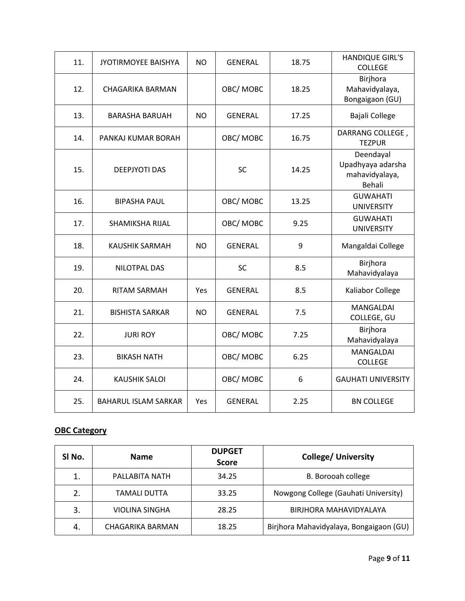| 11. | <b>JYOTIRMOYEE BAISHYA</b>  | <b>NO</b> | <b>GENERAL</b> | 18.75 | <b>HANDIQUE GIRL'S</b><br><b>COLLEGE</b>                   |
|-----|-----------------------------|-----------|----------------|-------|------------------------------------------------------------|
| 12. | <b>CHAGARIKA BARMAN</b>     |           | OBC/MOBC       | 18.25 | Birjhora<br>Mahavidyalaya,<br>Bongaigaon (GU)              |
| 13. | <b>BARASHA BARUAH</b>       | <b>NO</b> | <b>GENERAL</b> | 17.25 | Bajali College                                             |
| 14. | PANKAJ KUMAR BORAH          |           | OBC/MOBC       | 16.75 | DARRANG COLLEGE,<br><b>TEZPUR</b>                          |
| 15. | <b>DEEPJYOTI DAS</b>        |           | SC             | 14.25 | Deendayal<br>Upadhyaya adarsha<br>mahavidyalaya,<br>Behali |
| 16. | <b>BIPASHA PAUL</b>         |           | OBC/MOBC       | 13.25 | <b>GUWAHATI</b><br><b>UNIVERSITY</b>                       |
| 17. | SHAMIKSHA RIJAL             |           | OBC/MOBC       | 9.25  | <b>GUWAHATI</b><br><b>UNIVERSITY</b>                       |
| 18. | <b>KAUSHIK SARMAH</b>       | <b>NO</b> | <b>GENERAL</b> | 9     | Mangaldai College                                          |
| 19. | NILOTPAL DAS                |           | <b>SC</b>      | 8.5   | Birjhora<br>Mahavidyalaya                                  |
| 20. | <b>RITAM SARMAH</b>         | Yes       | <b>GENERAL</b> | 8.5   | Kaliabor College                                           |
| 21. | <b>BISHISTA SARKAR</b>      | <b>NO</b> | <b>GENERAL</b> | 7.5   | MANGALDAI<br>COLLEGE, GU                                   |
| 22. | <b>JURI ROY</b>             |           | OBC/MOBC       | 7.25  | Birjhora<br>Mahavidyalaya                                  |
| 23. | <b>BIKASH NATH</b>          |           | OBC/MOBC       | 6.25  | MANGALDAI<br><b>COLLEGE</b>                                |
| 24. | <b>KAUSHIK SALOI</b>        |           | OBC/MOBC       | 6     | <b>GAUHATI UNIVERSITY</b>                                  |
| 25. | <b>BAHARUL ISLAM SARKAR</b> | Yes       | <b>GENERAL</b> | 2.25  | <b>BN COLLEGE</b>                                          |

#### **OBC Category**

| SI <sub>No.</sub> | <b>Name</b>      | <b>DUPGET</b><br><b>Score</b> | <b>College/ University</b>              |
|-------------------|------------------|-------------------------------|-----------------------------------------|
| 1.                | PALLABITA NATH   | 34.25                         | B. Borooah college                      |
| 2.                | TAMALI DUTTA     | 33.25                         | Nowgong College (Gauhati University)    |
| 3.                | VIOLINA SINGHA   | 28.25                         | BIRJHORA MAHAVIDYALAYA                  |
| -4.               | CHAGARIKA BARMAN | 18.25                         | Birjhora Mahavidyalaya, Bongaigaon (GU) |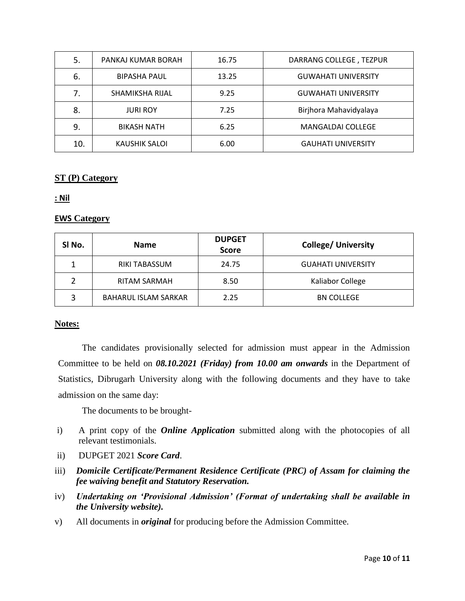| 5.  | PANKAJ KUMAR BORAH  | 16.75 | DARRANG COLLEGE, TEZPUR    |
|-----|---------------------|-------|----------------------------|
| 6.  | <b>BIPASHA PAUL</b> | 13.25 | <b>GUWAHATI UNIVERSITY</b> |
| 7.  | SHAMIKSHA RIJAL     | 9.25  | <b>GUWAHATI UNIVERSITY</b> |
| 8.  | <b>JURI ROY</b>     | 7.25  | Birjhora Mahavidyalaya     |
| 9.  | <b>BIKASH NATH</b>  | 6.25  | <b>MANGALDAI COLLEGE</b>   |
| 10. | KAUSHIK SALOI       | 6.00  | <b>GAUHATI UNIVERSITY</b>  |

#### **ST (P) Category**

#### **: Nil**

#### **EWS Category**

| SI No.        | <b>Name</b>                 | <b>DUPGET</b><br><b>Score</b> | <b>College/ University</b> |
|---------------|-----------------------------|-------------------------------|----------------------------|
|               | <b>RIKI TABASSUM</b>        | 24.75                         | <b>GUAHATI UNIVERSITY</b>  |
| $\mathcal{P}$ | <b>RITAM SARMAH</b>         | 8.50                          | Kaliabor College           |
| 3             | <b>BAHARUL ISLAM SARKAR</b> | 2.25                          | <b>BN COLLEGE</b>          |

#### **Notes:**

The candidates provisionally selected for admission must appear in the Admission Committee to be held on *08.10.2021 (Friday) from 10.00 am onwards* in the Department of Statistics, Dibrugarh University along with the following documents and they have to take admission on the same day:

The documents to be brought-

- i) A print copy of the *Online Application* submitted along with the photocopies of all relevant testimonials.
- ii) DUPGET 2021 *Score Card*.
- iii) *Domicile Certificate/Permanent Residence Certificate (PRC) of Assam for claiming the fee waiving benefit and Statutory Reservation.*
- iv) *Undertaking on 'Provisional Admission' (Format of undertaking shall be available in the University website).*
- v) All documents in *original* for producing before the Admission Committee.